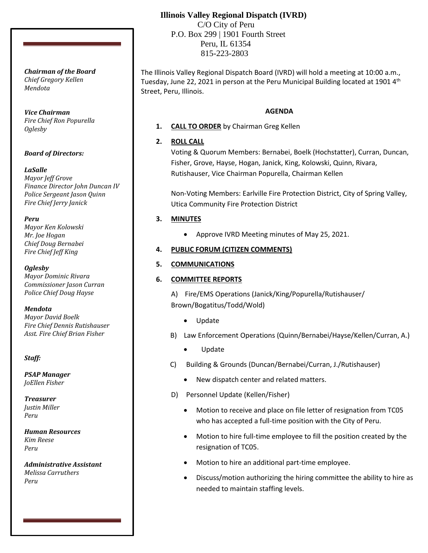# **Illinois Valley Regional Dispatch (IVRD)**

 C/O City of Peru P.O. Box 299 | 1901 Fourth Street Peru, IL 61354 815-223-2803

The Illinois Valley Regional Dispatch Board (IVRD) will hold a meeting at 10:00 a.m., Tuesday, June 22, 2021 in person at the Peru Municipal Building located at 1901 4<sup>th</sup> Street, Peru, Illinois.

#### **AGENDA**

**1. CALL TO ORDER** by Chairman Greg Kellen

## **2. ROLL CALL**

Voting & Quorum Members: Bernabei, Boelk (Hochstatter), Curran, Duncan, Fisher, Grove, Hayse, Hogan, Janick, King, Kolowski, Quinn, Rivara, Rutishauser, Vice Chairman Popurella, Chairman Kellen

Non-Voting Members: Earlville Fire Protection District, City of Spring Valley, Utica Community Fire Protection District

## **3. MINUTES**

• Approve IVRD Meeting minutes of May 25, 2021.

## **4. PUBLIC FORUM (CITIZEN COMMENTS)**

## **5. COMMUNICATIONS**

## **6. COMMITTEE REPORTS**

A) Fire/EMS Operations (Janick/King/Popurella/Rutishauser/ Brown/Bogatitus/Todd/Wold)

- Update
- B) Law Enforcement Operations (Quinn/Bernabei/Hayse/Kellen/Curran, A.)
	- Update
- C) Building & Grounds (Duncan/Bernabei/Curran, J./Rutishauser)
	- New dispatch center and related matters.
- D) Personnel Update (Kellen/Fisher)
	- Motion to receive and place on file letter of resignation from TC05 who has accepted a full-time position with the City of Peru.
	- Motion to hire full-time employee to fill the position created by the resignation of TC05.
	- Motion to hire an additional part-time employee.
	- Discuss/motion authorizing the hiring committee the ability to hire as needed to maintain staffing levels.

*Chairman of the Board Chief Gregory Kellen Mendota*

*Vice Chairman Fire Chief Ron Popurella Oglesby*

## *Board of Directors:*

## *LaSalle*

*Mayor Jeff Grove Finance Director John Duncan IV Police Sergeant Jason Quinn Fire Chief Jerry Janick*

#### *Peru*

*Mayor Ken Kolowski Mr. Joe Hogan Chief Doug Bernabei Fire Chief Jeff King*

*Oglesby Mayor Dominic Rivara Commissioner Jason Curran Police Chief Doug Hayse*

*Mendota*

*Mayor David Boelk Fire Chief Dennis Rutishauser Asst. Fire Chief Brian Fisher*

*Staff:*

*PSAP Manager JoEllen Fisher*

*Treasurer Justin Miller Peru*

*Human Resources Kim Reese Peru*

*Administrative Assistant Melissa Carruthers Peru*